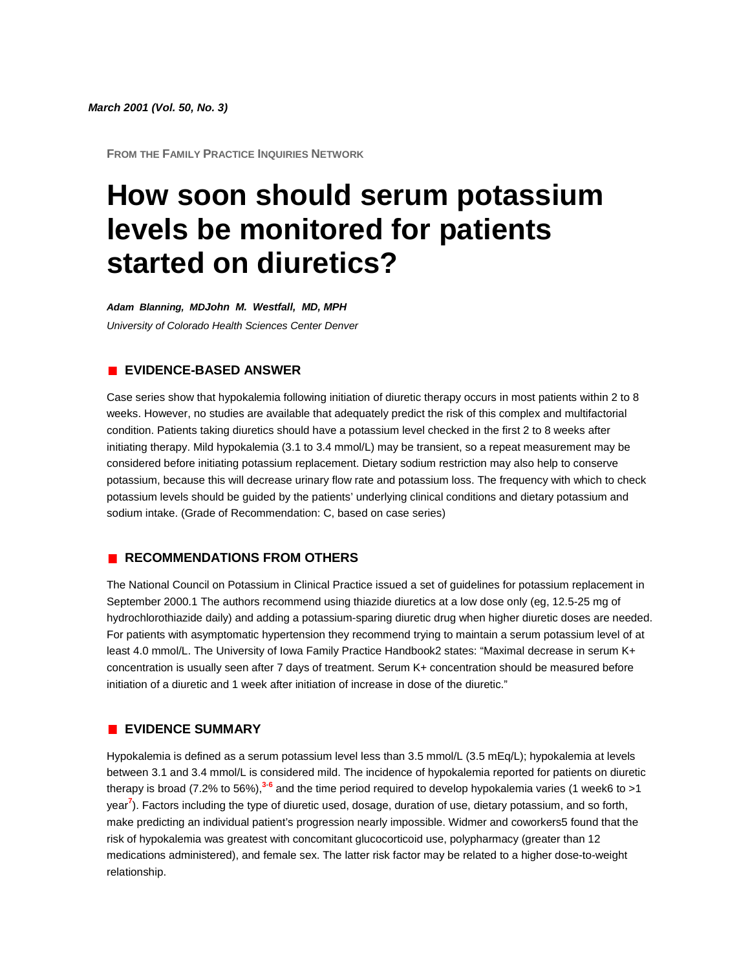**FROM THE FAMILY PRACTICE INQUIRIES NETWORK**

# **How soon should serum potassium levels be monitored for patients started on diuretics?**

*Adam Blanning, MDJohn M. Westfall, MD, MPH University of Colorado Health Sciences Center Denver*

## **EVIDENCE-BASED ANSWER**

Case series show that hypokalemia following initiation of diuretic therapy occurs in most patients within 2 to 8 weeks. However, no studies are available that adequately predict the risk of this complex and multifactorial condition. Patients taking diuretics should have a potassium level checked in the first 2 to 8 weeks after initiating therapy. Mild hypokalemia (3.1 to 3.4 mmol/L) may be transient, so a repeat measurement may be considered before initiating potassium replacement. Dietary sodium restriction may also help to conserve potassium, because this will decrease urinary flow rate and potassium loss. The frequency with which to check potassium levels should be guided by the patients' underlying clinical conditions and dietary potassium and sodium intake. (Grade of Recommendation: C, based on case series)

#### **RECOMMENDATIONS FROM OTHERS**

The National Council on Potassium in Clinical Practice issued a set of guidelines for potassium replacement in September 2000.1 The authors recommend using thiazide diuretics at a low dose only (eg, 12.5-25 mg of hydrochlorothiazide daily) and adding a potassium-sparing diuretic drug when higher diuretic doses are needed. For patients with asymptomatic hypertension they recommend trying to maintain a serum potassium level of at least 4.0 mmol/L. The University of Iowa Family Practice Handbook2 states: "Maximal decrease in serum K+ concentration is usually seen after 7 days of treatment. Serum K+ concentration should be measured before initiation of a diuretic and 1 week after initiation of increase in dose of the diuretic."

### **EVIDENCE SUMMARY**

Hypokalemia is defined as a serum potassium level less than 3.5 mmol/L (3.5 mEq/L); hypokalemia at levels between 3.1 and 3.4 mmol/L is considered mild. The incidence of hypokalemia reported for patients on diuretic therapy is broad (7.2% to 56%[\),](http://www.jfponline.com/Pages.asp?AID=2174&issue=March_2001&UID=#bib3)**<sup>3</sup>**-**[6](http://www.jfponline.com/Pages.asp?AID=2174&issue=March_2001&UID=#bib6)** and the time period required to develop hypokalemia varies (1 week6 to >1 yea[r](http://www.jfponline.com/Pages.asp?AID=2174&issue=March_2001&UID=#bib7)**<sup>7</sup>** ). Factors including the type of diuretic used, dosage, duration of use, dietary potassium, and so forth, make predicting an individual patient's progression nearly impossible. Widmer and coworkers5 found that the risk of hypokalemia was greatest with concomitant glucocorticoid use, polypharmacy (greater than 12 medications administered), and female sex. The latter risk factor may be related to a higher dose-to-weight relationship.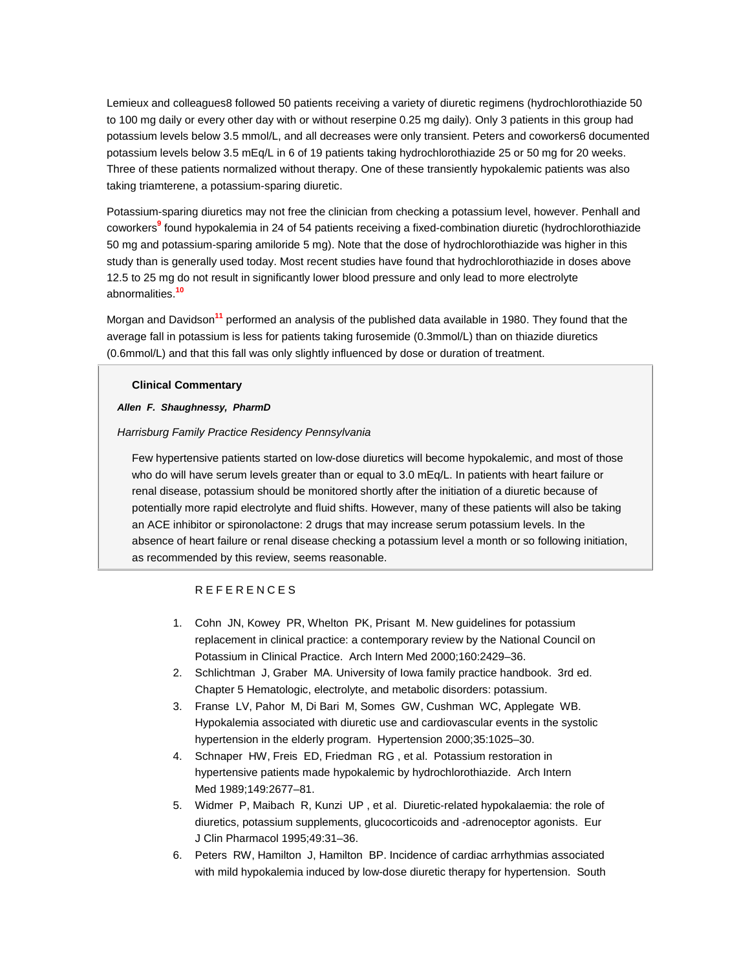Lemieux and colleagues8 followed 50 patients receiving a variety of diuretic regimens (hydrochlorothiazide 50 to 100 mg daily or every other day with or without reserpine 0.25 mg daily). Only 3 patients in this group had potassium levels below 3.5 mmol/L, and all decreases were only transient. Peters and coworkers6 documented potassium levels below 3.5 mEq/L in 6 of 19 patients taking hydrochlorothiazide 25 or 50 mg for 20 weeks. Three of these patients normalized without therapy. One of these transiently hypokalemic patients was also taking triamterene, a potassium-sparing diuretic.

Potassium-sparing diuretics may not free the clinician from checking a potassium level, however. Penhall and coworkers**[9](http://www.jfponline.com/Pages.asp?AID=2174&issue=March_2001&UID=#bib9)** found hypokalemia in 24 of 54 patients receiving a fixed-combination diuretic (hydrochlorothiazide 50 mg and potassium-sparing amiloride 5 mg). Note that the dose of hydrochlorothiazide was higher in this study than is generally used today. Most recent studies have found that hydrochlorothiazide in doses above 12.5 to 25 mg do not result in significantly lower blood pressure and only lead to more electrolyte abnormalities.**[10](http://www.jfponline.com/Pages.asp?AID=2174&issue=March_2001&UID=#bib10)**

Morgan and Davidson**[11](http://www.jfponline.com/Pages.asp?AID=2174&issue=March_2001&UID=#bib11)** performed an analysis of the published data available in 1980. They found that the average fall in potassium is less for patients taking furosemide (0.3mmol/L) than on thiazide diuretics (0.6mmol/L) and that this fall was only slightly influenced by dose or duration of treatment.

#### **Clinical Commentary**

#### *Allen F. Shaughnessy, PharmD*

#### *Harrisburg Family Practice Residency Pennsylvania*

Few hypertensive patients started on low-dose diuretics will become hypokalemic, and most of those who do will have serum levels greater than or equal to 3.0 mEq/L. In patients with heart failure or renal disease, potassium should be monitored shortly after the initiation of a diuretic because of potentially more rapid electrolyte and fluid shifts. However, many of these patients will also be taking an ACE inhibitor or spironolactone: 2 drugs that may increase serum potassium levels. In the absence of heart failure or renal disease checking a potassium level a month or so following initiation, as recommended by this review, seems reasonable.

#### REFERENCES

- 1. Cohn JN, Kowey PR, Whelton PK, Prisant M. New guidelines for potassium replacement in clinical practice: a contemporary review by the National Council on Potassium in Clinical Practice. Arch Intern Med 2000;160:2429–36.
- 2. Schlichtman J, Graber MA. University of Iowa family practice handbook. 3rd ed. Chapter 5 Hematologic, electrolyte, and metabolic disorders: potassium.
- 3. Franse LV, Pahor M, Di Bari M, Somes GW, Cushman WC, Applegate WB. Hypokalemia associated with diuretic use and cardiovascular events in the systolic hypertension in the elderly program. Hypertension 2000;35:1025–30.
- 4. Schnaper HW, Freis ED, Friedman RG , et al. Potassium restoration in hypertensive patients made hypokalemic by hydrochlorothiazide. Arch Intern Med 1989;149:2677–81.
- 5. Widmer P, Maibach R, Kunzi UP , et al. Diuretic-related hypokalaemia: the role of diuretics, potassium supplements, glucocorticoids and -adrenoceptor agonists. Eur J Clin Pharmacol 1995;49:31–36.
- 6. Peters RW, Hamilton J, Hamilton BP. Incidence of cardiac arrhythmias associated with mild hypokalemia induced by low-dose diuretic therapy for hypertension. South